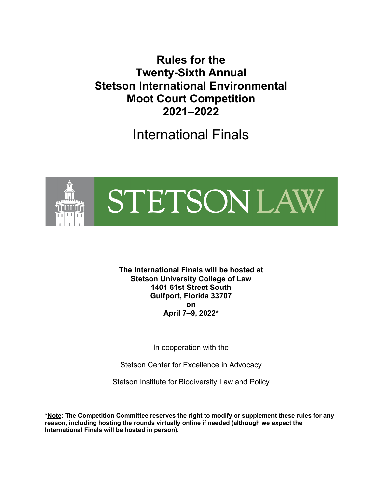**Rules for the Twenty-Sixth Annual Stetson International Environmental Moot Court Competition 2021–2022**

International Finals



**The International Finals will be hosted at Stetson University College of Law 1401 61st Street South Gulfport, Florida 33707 on April 7–9, 2022\***

In cooperation with the

Stetson Center for Excellence in Advocacy

Stetson Institute for Biodiversity Law and Policy

**\*Note: The Competition Committee reserves the right to modify or supplement these rules for any reason, including hosting the rounds virtually online if needed (although we expect the International Finals will be hosted in person).**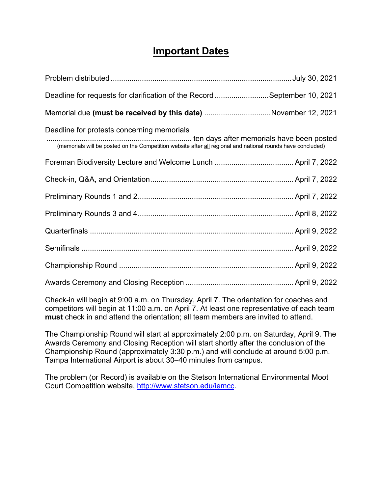# **Important Dates**

| Deadline for requests for clarification of the Record September 10, 2021                                                                                  |
|-----------------------------------------------------------------------------------------------------------------------------------------------------------|
| Memorial due (must be received by this date) November 12, 2021                                                                                            |
| Deadline for protests concerning memorials<br>(memorials will be posted on the Competition website after all regional and national rounds have concluded) |
|                                                                                                                                                           |
|                                                                                                                                                           |
|                                                                                                                                                           |
|                                                                                                                                                           |
|                                                                                                                                                           |
|                                                                                                                                                           |
|                                                                                                                                                           |
|                                                                                                                                                           |

Check-in will begin at 9:00 a.m. on Thursday, April 7. The orientation for coaches and competitors will begin at 11:00 a.m. on April 7. At least one representative of each team **must** check in and attend the orientation; all team members are invited to attend.

The Championship Round will start at approximately 2:00 p.m. on Saturday, April 9. The Awards Ceremony and Closing Reception will start shortly after the conclusion of the Championship Round (approximately 3:30 p.m.) and will conclude at around 5:00 p.m. Tampa International Airport is about 30–40 minutes from campus.

The problem (or Record) is available on the Stetson International Environmental Moot Court Competition website, http://www.stetson.edu/iemcc.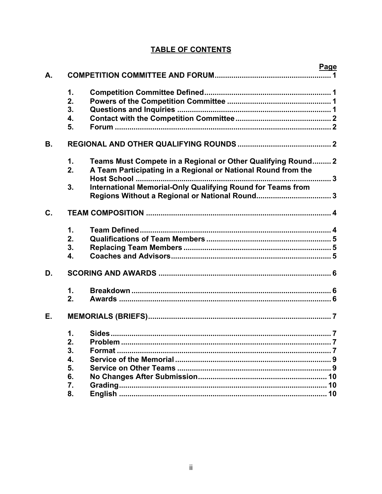# **TABLE OF CONTENTS**

|    |               | Page                                                               |  |
|----|---------------|--------------------------------------------------------------------|--|
| A. |               |                                                                    |  |
|    | $\mathbf 1$ . |                                                                    |  |
|    | 2.            |                                                                    |  |
|    | 3.            |                                                                    |  |
|    |               |                                                                    |  |
|    | 4.            |                                                                    |  |
|    | 5.            |                                                                    |  |
| В. |               |                                                                    |  |
|    | 1.            | Teams Must Compete in a Regional or Other Qualifying Round 2       |  |
|    | 2.            | A Team Participating in a Regional or National Round from the      |  |
|    |               |                                                                    |  |
|    | 3.            | <b>International Memorial-Only Qualifying Round for Teams from</b> |  |
|    |               |                                                                    |  |
| C. |               |                                                                    |  |
|    | $\mathbf 1$ . |                                                                    |  |
|    | 2.            |                                                                    |  |
|    | 3.            |                                                                    |  |
|    | 4.            |                                                                    |  |
| D. |               |                                                                    |  |
|    | 1.            |                                                                    |  |
|    | 2.            |                                                                    |  |
|    |               |                                                                    |  |
| Е. |               |                                                                    |  |
|    | 1.            |                                                                    |  |
|    | 2.            |                                                                    |  |
|    | 3.            |                                                                    |  |
|    | 4.            |                                                                    |  |
|    | 5.            |                                                                    |  |
|    | 6.            |                                                                    |  |
|    | 7.            |                                                                    |  |
|    | 8.            |                                                                    |  |
|    |               |                                                                    |  |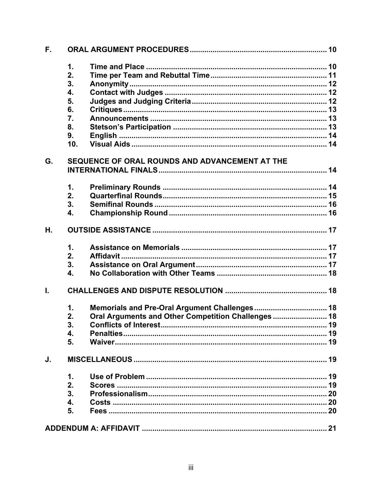| F. |                |                                                     |  |
|----|----------------|-----------------------------------------------------|--|
|    | 1.             |                                                     |  |
|    | 2.             |                                                     |  |
|    | 3.             |                                                     |  |
|    | 4.             |                                                     |  |
|    | 5.             |                                                     |  |
|    | 6.             |                                                     |  |
|    | 7.             |                                                     |  |
|    | 8.             |                                                     |  |
|    | 9.             |                                                     |  |
|    | 10.            |                                                     |  |
| G. |                | SEQUENCE OF ORAL ROUNDS AND ADVANCEMENT AT THE      |  |
|    |                |                                                     |  |
|    | $\mathbf{1}$ . |                                                     |  |
|    | 2.             |                                                     |  |
|    | 3.             |                                                     |  |
|    | 4.             |                                                     |  |
| Η. |                |                                                     |  |
|    | 1.             |                                                     |  |
|    | 2.             |                                                     |  |
|    | 3.             |                                                     |  |
|    | 4.             |                                                     |  |
| L. |                |                                                     |  |
|    | 1.             |                                                     |  |
|    | 2.             | Oral Arguments and Other Competition Challenges  18 |  |
|    | 3.             |                                                     |  |
|    | 4.             |                                                     |  |
|    | 5.             |                                                     |  |
| J. |                |                                                     |  |
|    | 1.             |                                                     |  |
|    | 2.             |                                                     |  |
|    | 3.             |                                                     |  |
|    | 4.             |                                                     |  |
|    | 5.             |                                                     |  |
|    |                |                                                     |  |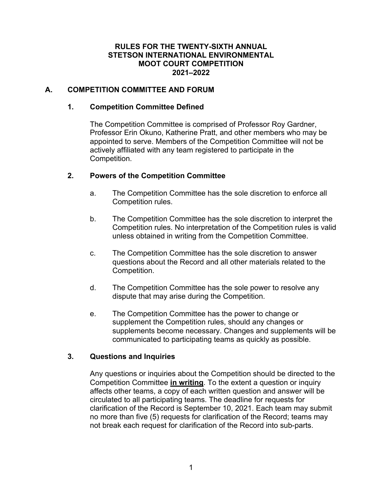### **RULES FOR THE TWENTY-SIXTH ANNUAL STETSON INTERNATIONAL ENVIRONMENTAL MOOT COURT COMPETITION 2021–2022**

### **A. COMPETITION COMMITTEE AND FORUM**

### **1. Competition Committee Defined**

The Competition Committee is comprised of Professor Roy Gardner, Professor Erin Okuno, Katherine Pratt, and other members who may be appointed to serve. Members of the Competition Committee will not be actively affiliated with any team registered to participate in the Competition.

### **2. Powers of the Competition Committee**

- a. The Competition Committee has the sole discretion to enforce all Competition rules.
- b. The Competition Committee has the sole discretion to interpret the Competition rules. No interpretation of the Competition rules is valid unless obtained in writing from the Competition Committee.
- c. The Competition Committee has the sole discretion to answer questions about the Record and all other materials related to the Competition.
- d. The Competition Committee has the sole power to resolve any dispute that may arise during the Competition.
- e. The Competition Committee has the power to change or supplement the Competition rules, should any changes or supplements become necessary. Changes and supplements will be communicated to participating teams as quickly as possible.

# **3. Questions and Inquiries**

Any questions or inquiries about the Competition should be directed to the Competition Committee **in writing**. To the extent a question or inquiry affects other teams, a copy of each written question and answer will be circulated to all participating teams. The deadline for requests for clarification of the Record is September 10, 2021. Each team may submit no more than five (5) requests for clarification of the Record; teams may not break each request for clarification of the Record into sub-parts.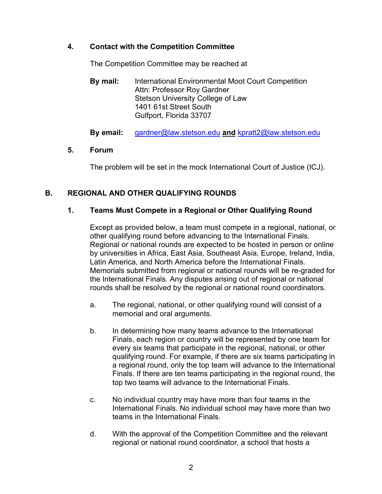# **4. Contact with the Competition Committee**

The Competition Committee may be reached at

**By mail:** International Environmental Moot Court Competition Attn: Professor Roy Gardner Stetson University College of Law 1401 61st Street South Gulfport, Florida 33707

**By email:** gardner@law.stetson.edu **and** kpratt2@law.stetson.edu

### **5. Forum**

The problem will be set in the mock International Court of Justice (ICJ).

# **B. REGIONAL AND OTHER QUALIFYING ROUNDS**

### **1. Teams Must Compete in a Regional or Other Qualifying Round**

Except as provided below, a team must compete in a regional, national, or other qualifying round before advancing to the International Finals. Regional or national rounds are expected to be hosted in person or online by universities in Africa, East Asia, Southeast Asia, Europe, Ireland, India, Latin America, and North America before the International Finals. Memorials submitted from regional or national rounds will be re-graded for the International Finals. Any disputes arising out of regional or national rounds shall be resolved by the regional or national round coordinators.

- a. The regional, national, or other qualifying round will consist of a memorial and oral arguments.
- b. In determining how many teams advance to the International Finals, each region or country will be represented by one team for every six teams that participate in the regional, national, or other qualifying round. For example, if there are six teams participating in a regional round, only the top team will advance to the International Finals. If there are ten teams participating in the regional round, the top two teams will advance to the International Finals.
- c. No individual country may have more than four teams in the International Finals. No individual school may have more than two teams in the International Finals.
- d. With the approval of the Competition Committee and the relevant regional or national round coordinator, a school that hosts a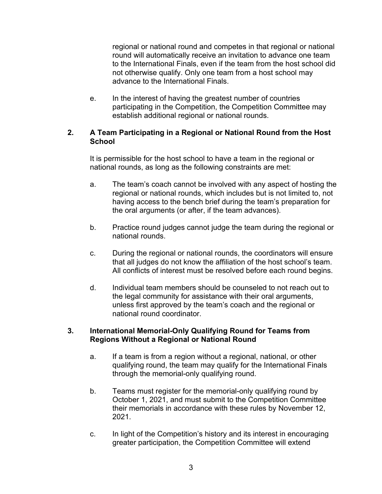regional or national round and competes in that regional or national round will automatically receive an invitation to advance one team to the International Finals, even if the team from the host school did not otherwise qualify. Only one team from a host school may advance to the International Finals.

e. In the interest of having the greatest number of countries participating in the Competition, the Competition Committee may establish additional regional or national rounds.

### **2. A Team Participating in a Regional or National Round from the Host School**

It is permissible for the host school to have a team in the regional or national rounds, as long as the following constraints are met:

- a. The team's coach cannot be involved with any aspect of hosting the regional or national rounds, which includes but is not limited to, not having access to the bench brief during the team's preparation for the oral arguments (or after, if the team advances).
- b. Practice round judges cannot judge the team during the regional or national rounds.
- c. During the regional or national rounds, the coordinators will ensure that all judges do not know the affiliation of the host school's team. All conflicts of interest must be resolved before each round begins.
- d. Individual team members should be counseled to not reach out to the legal community for assistance with their oral arguments, unless first approved by the team's coach and the regional or national round coordinator.

### **3. International Memorial-Only Qualifying Round for Teams from Regions Without a Regional or National Round**

- a. If a team is from a region without a regional, national, or other qualifying round, the team may qualify for the International Finals through the memorial-only qualifying round.
- b. Teams must register for the memorial-only qualifying round by October 1, 2021, and must submit to the Competition Committee their memorials in accordance with these rules by November 12, 2021.
- c. In light of the Competition's history and its interest in encouraging greater participation, the Competition Committee will extend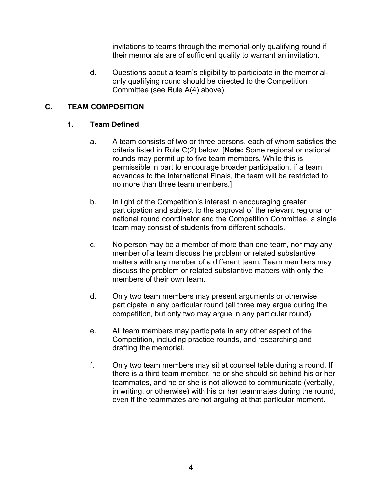invitations to teams through the memorial-only qualifying round if their memorials are of sufficient quality to warrant an invitation.

d. Questions about a team's eligibility to participate in the memorialonly qualifying round should be directed to the Competition Committee (see Rule A(4) above).

### **C. TEAM COMPOSITION**

### **1. Team Defined**

- a. A team consists of two or three persons, each of whom satisfies the criteria listed in Rule C(2) below. [**Note:** Some regional or national rounds may permit up to five team members. While this is permissible in part to encourage broader participation, if a team advances to the International Finals, the team will be restricted to no more than three team members.]
- b. In light of the Competition's interest in encouraging greater participation and subject to the approval of the relevant regional or national round coordinator and the Competition Committee, a single team may consist of students from different schools.
- c. No person may be a member of more than one team, nor may any member of a team discuss the problem or related substantive matters with any member of a different team. Team members may discuss the problem or related substantive matters with only the members of their own team.
- d. Only two team members may present arguments or otherwise participate in any particular round (all three may argue during the competition, but only two may argue in any particular round).
- e. All team members may participate in any other aspect of the Competition, including practice rounds, and researching and drafting the memorial.
- f. Only two team members may sit at counsel table during a round. If there is a third team member, he or she should sit behind his or her teammates, and he or she is not allowed to communicate (verbally, in writing, or otherwise) with his or her teammates during the round, even if the teammates are not arguing at that particular moment.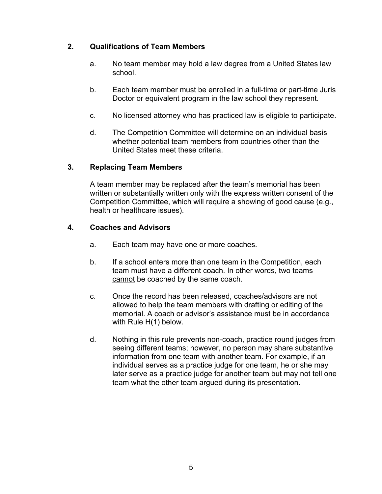# **2. Qualifications of Team Members**

- a. No team member may hold a law degree from a United States law school.
- b. Each team member must be enrolled in a full-time or part-time Juris Doctor or equivalent program in the law school they represent.
- c. No licensed attorney who has practiced law is eligible to participate.
- d. The Competition Committee will determine on an individual basis whether potential team members from countries other than the United States meet these criteria.

### **3. Replacing Team Members**

A team member may be replaced after the team's memorial has been written or substantially written only with the express written consent of the Competition Committee, which will require a showing of good cause (e.g., health or healthcare issues).

### **4. Coaches and Advisors**

- a. Each team may have one or more coaches.
- b. If a school enters more than one team in the Competition, each team must have a different coach. In other words, two teams cannot be coached by the same coach.
- c. Once the record has been released, coaches/advisors are not allowed to help the team members with drafting or editing of the memorial. A coach or advisor's assistance must be in accordance with Rule H(1) below.
- d. Nothing in this rule prevents non-coach, practice round judges from seeing different teams; however, no person may share substantive information from one team with another team. For example, if an individual serves as a practice judge for one team, he or she may later serve as a practice judge for another team but may not tell one team what the other team argued during its presentation.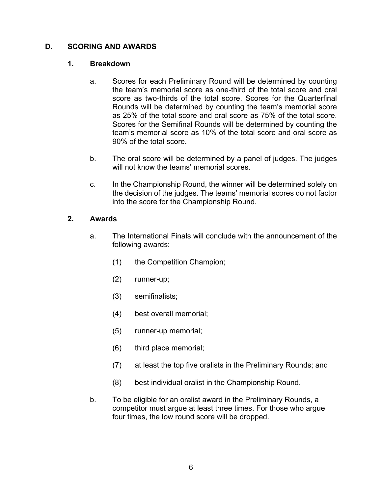### **D. SCORING AND AWARDS**

#### **1. Breakdown**

- a. Scores for each Preliminary Round will be determined by counting the team's memorial score as one-third of the total score and oral score as two-thirds of the total score. Scores for the Quarterfinal Rounds will be determined by counting the team's memorial score as 25% of the total score and oral score as 75% of the total score. Scores for the Semifinal Rounds will be determined by counting the team's memorial score as 10% of the total score and oral score as 90% of the total score.
- b. The oral score will be determined by a panel of judges. The judges will not know the teams' memorial scores.
- c. In the Championship Round, the winner will be determined solely on the decision of the judges. The teams' memorial scores do not factor into the score for the Championship Round.

### **2. Awards**

- a. The International Finals will conclude with the announcement of the following awards:
	- (1) the Competition Champion;
	- (2) runner-up;
	- (3) semifinalists;
	- (4) best overall memorial;
	- (5) runner-up memorial;
	- (6) third place memorial;
	- (7) at least the top five oralists in the Preliminary Rounds; and
	- (8) best individual oralist in the Championship Round.
- b. To be eligible for an oralist award in the Preliminary Rounds, a competitor must argue at least three times. For those who argue four times, the low round score will be dropped.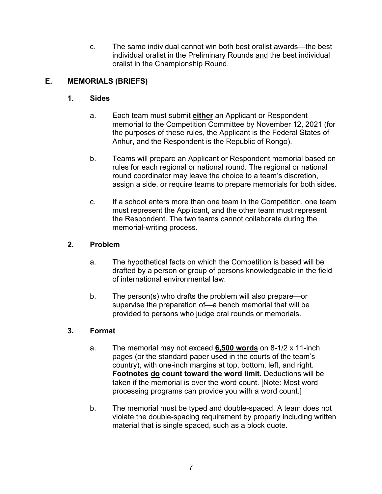c. The same individual cannot win both best oralist awards—the best individual oralist in the Preliminary Rounds and the best individual oralist in the Championship Round.

# **E. MEMORIALS (BRIEFS)**

# **1. Sides**

- a. Each team must submit **either** an Applicant or Respondent memorial to the Competition Committee by November 12, 2021 (for the purposes of these rules, the Applicant is the Federal States of Anhur, and the Respondent is the Republic of Rongo).
- b. Teams will prepare an Applicant or Respondent memorial based on rules for each regional or national round. The regional or national round coordinator may leave the choice to a team's discretion, assign a side, or require teams to prepare memorials for both sides.
- c. If a school enters more than one team in the Competition, one team must represent the Applicant, and the other team must represent the Respondent. The two teams cannot collaborate during the memorial-writing process.

# **2. Problem**

- a. The hypothetical facts on which the Competition is based will be drafted by a person or group of persons knowledgeable in the field of international environmental law.
- b. The person(s) who drafts the problem will also prepare—or supervise the preparation of—a bench memorial that will be provided to persons who judge oral rounds or memorials.

# **3. Format**

- a. The memorial may not exceed **6,500 words** on 8-1/2 x 11-inch pages (or the standard paper used in the courts of the team's country), with one-inch margins at top, bottom, left, and right. **Footnotes do count toward the word limit.** Deductions will be taken if the memorial is over the word count. [Note: Most word processing programs can provide you with a word count.]
- b. The memorial must be typed and double-spaced. A team does not violate the double-spacing requirement by properly including written material that is single spaced, such as a block quote.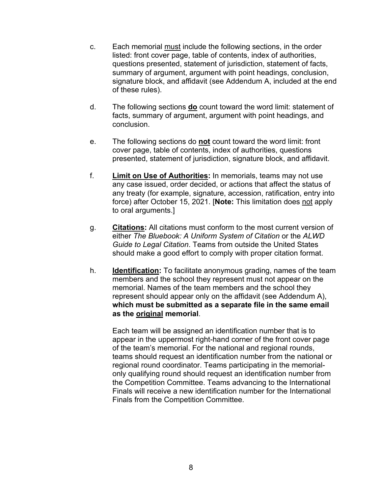- c. Each memorial must include the following sections, in the order listed: front cover page, table of contents, index of authorities, questions presented, statement of jurisdiction, statement of facts, summary of argument, argument with point headings, conclusion, signature block, and affidavit (see Addendum A, included at the end of these rules).
- d. The following sections **do** count toward the word limit: statement of facts, summary of argument, argument with point headings, and conclusion.
- e. The following sections do **not** count toward the word limit: front cover page, table of contents, index of authorities, questions presented, statement of jurisdiction, signature block, and affidavit.
- f. **Limit on Use of Authorities:** In memorials, teams may not use any case issued, order decided, or actions that affect the status of any treaty (for example, signature, accession, ratification, entry into force) after October 15, 2021. [**Note:** This limitation does not apply to oral arguments.]
- g. **Citations:** All citations must conform to the most current version of either *The Bluebook: A Uniform System of Citation* or the *ALWD Guide to Legal Citation*. Teams from outside the United States should make a good effort to comply with proper citation format.
- h. **Identification:** To facilitate anonymous grading, names of the team members and the school they represent must not appear on the memorial. Names of the team members and the school they represent should appear only on the affidavit (see Addendum A), **which must be submitted as a separate file in the same email as the original memorial**.

Each team will be assigned an identification number that is to appear in the uppermost right-hand corner of the front cover page of the team's memorial. For the national and regional rounds, teams should request an identification number from the national or regional round coordinator. Teams participating in the memorialonly qualifying round should request an identification number from the Competition Committee. Teams advancing to the International Finals will receive a new identification number for the International Finals from the Competition Committee.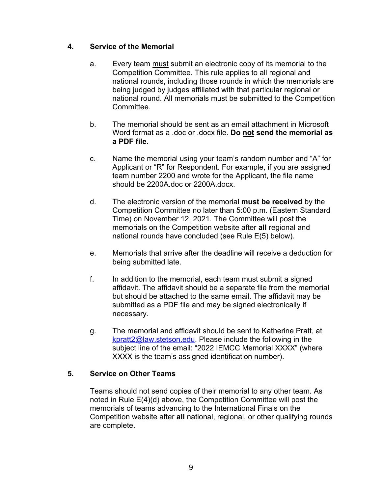### **4. Service of the Memorial**

- a. Every team must submit an electronic copy of its memorial to the Competition Committee. This rule applies to all regional and national rounds, including those rounds in which the memorials are being judged by judges affiliated with that particular regional or national round. All memorials must be submitted to the Competition Committee.
- b. The memorial should be sent as an email attachment in Microsoft Word format as a .doc or .docx file. **Do not send the memorial as a PDF file**.
- c. Name the memorial using your team's random number and "A" for Applicant or "R" for Respondent. For example, if you are assigned team number 2200 and wrote for the Applicant, the file name should be 2200A.doc or 2200A.docx.
- d. The electronic version of the memorial **must be received** by the Competition Committee no later than 5:00 p.m. (Eastern Standard Time) on November 12, 2021. The Committee will post the memorials on the Competition website after **all** regional and national rounds have concluded (see Rule E(5) below).
- e. Memorials that arrive after the deadline will receive a deduction for being submitted late.
- f. In addition to the memorial, each team must submit a signed affidavit. The affidavit should be a separate file from the memorial but should be attached to the same email. The affidavit may be submitted as a PDF file and may be signed electronically if necessary.
- g. The memorial and affidavit should be sent to Katherine Pratt, at kpratt2@law.stetson.edu. Please include the following in the subject line of the email: "2022 IEMCC Memorial XXXX" (where XXXX is the team's assigned identification number).

# **5. Service on Other Teams**

Teams should not send copies of their memorial to any other team. As noted in Rule E(4)(d) above, the Competition Committee will post the memorials of teams advancing to the International Finals on the Competition website after **all** national, regional, or other qualifying rounds are complete.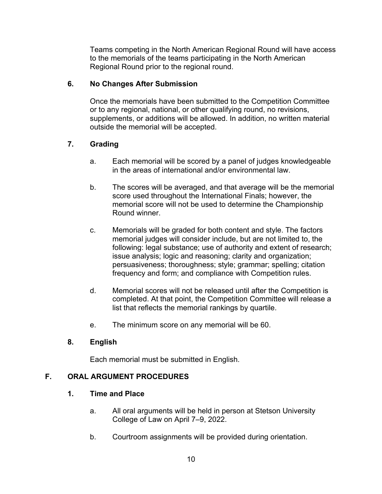Teams competing in the North American Regional Round will have access to the memorials of the teams participating in the North American Regional Round prior to the regional round.

# **6. No Changes After Submission**

Once the memorials have been submitted to the Competition Committee or to any regional, national, or other qualifying round, no revisions, supplements, or additions will be allowed. In addition, no written material outside the memorial will be accepted.

# **7. Grading**

- a. Each memorial will be scored by a panel of judges knowledgeable in the areas of international and/or environmental law.
- b. The scores will be averaged, and that average will be the memorial score used throughout the International Finals; however, the memorial score will not be used to determine the Championship Round winner.
- c. Memorials will be graded for both content and style. The factors memorial judges will consider include, but are not limited to, the following: legal substance; use of authority and extent of research; issue analysis; logic and reasoning; clarity and organization; persuasiveness; thoroughness; style; grammar; spelling; citation frequency and form; and compliance with Competition rules.
- d. Memorial scores will not be released until after the Competition is completed. At that point, the Competition Committee will release a list that reflects the memorial rankings by quartile.
- e. The minimum score on any memorial will be 60.

# **8. English**

Each memorial must be submitted in English.

# **F. ORAL ARGUMENT PROCEDURES**

# **1. Time and Place**

- a. All oral arguments will be held in person at Stetson University College of Law on April 7–9, 2022.
- b. Courtroom assignments will be provided during orientation.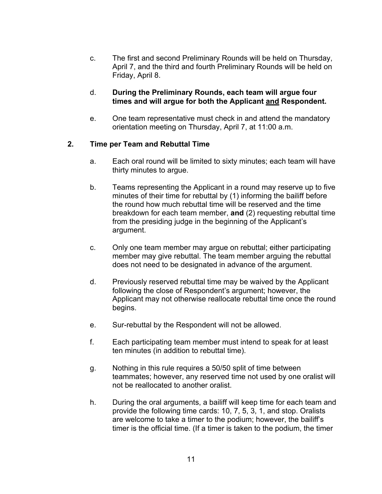c. The first and second Preliminary Rounds will be held on Thursday, April 7, and the third and fourth Preliminary Rounds will be held on Friday, April 8.

#### d. **During the Preliminary Rounds, each team will argue four times and will argue for both the Applicant and Respondent.**

e. One team representative must check in and attend the mandatory orientation meeting on Thursday, April 7, at 11:00 a.m.

### **2. Time per Team and Rebuttal Time**

- a. Each oral round will be limited to sixty minutes; each team will have thirty minutes to argue.
- b. Teams representing the Applicant in a round may reserve up to five minutes of their time for rebuttal by (1) informing the bailiff before the round how much rebuttal time will be reserved and the time breakdown for each team member, **and** (2) requesting rebuttal time from the presiding judge in the beginning of the Applicant's argument.
- c. Only one team member may argue on rebuttal; either participating member may give rebuttal. The team member arguing the rebuttal does not need to be designated in advance of the argument.
- d. Previously reserved rebuttal time may be waived by the Applicant following the close of Respondent's argument; however, the Applicant may not otherwise reallocate rebuttal time once the round begins.
- e. Sur-rebuttal by the Respondent will not be allowed.
- f. Each participating team member must intend to speak for at least ten minutes (in addition to rebuttal time).
- g. Nothing in this rule requires a 50/50 split of time between teammates; however, any reserved time not used by one oralist will not be reallocated to another oralist.
- h. During the oral arguments, a bailiff will keep time for each team and provide the following time cards: 10, 7, 5, 3, 1, and stop. Oralists are welcome to take a timer to the podium; however, the bailiff's timer is the official time. (If a timer is taken to the podium, the timer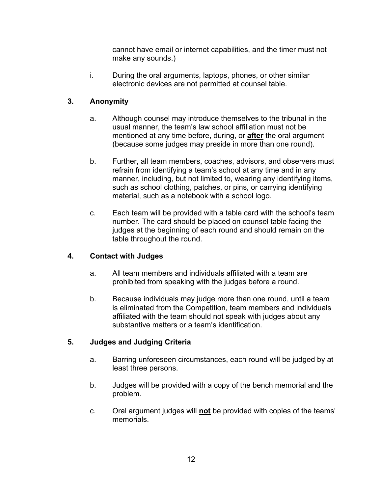cannot have email or internet capabilities, and the timer must not make any sounds.)

i. During the oral arguments, laptops, phones, or other similar electronic devices are not permitted at counsel table.

# **3. Anonymity**

- a. Although counsel may introduce themselves to the tribunal in the usual manner, the team's law school affiliation must not be mentioned at any time before, during, or **after** the oral argument (because some judges may preside in more than one round).
- b. Further, all team members, coaches, advisors, and observers must refrain from identifying a team's school at any time and in any manner, including, but not limited to, wearing any identifying items, such as school clothing, patches, or pins, or carrying identifying material, such as a notebook with a school logo.
- c. Each team will be provided with a table card with the school's team number. The card should be placed on counsel table facing the judges at the beginning of each round and should remain on the table throughout the round.

# **4. Contact with Judges**

- a. All team members and individuals affiliated with a team are prohibited from speaking with the judges before a round.
- b. Because individuals may judge more than one round, until a team is eliminated from the Competition, team members and individuals affiliated with the team should not speak with judges about any substantive matters or a team's identification.

# **5. Judges and Judging Criteria**

- a. Barring unforeseen circumstances, each round will be judged by at least three persons.
- b. Judges will be provided with a copy of the bench memorial and the problem.
- c. Oral argument judges will **not** be provided with copies of the teams' memorials.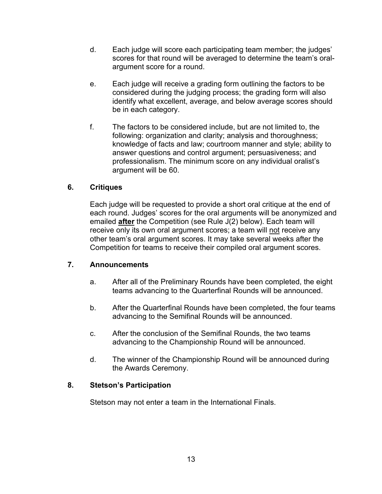- d. Each judge will score each participating team member; the judges' scores for that round will be averaged to determine the team's oralargument score for a round.
- e. Each judge will receive a grading form outlining the factors to be considered during the judging process; the grading form will also identify what excellent, average, and below average scores should be in each category.
- f. The factors to be considered include, but are not limited to, the following: organization and clarity; analysis and thoroughness; knowledge of facts and law; courtroom manner and style; ability to answer questions and control argument; persuasiveness; and professionalism. The minimum score on any individual oralist's argument will be 60.

# **6. Critiques**

Each judge will be requested to provide a short oral critique at the end of each round. Judges' scores for the oral arguments will be anonymized and emailed **after** the Competition (see Rule J(2) below). Each team will receive only its own oral argument scores; a team will not receive any other team's oral argument scores. It may take several weeks after the Competition for teams to receive their compiled oral argument scores.

### **7. Announcements**

- a. After all of the Preliminary Rounds have been completed, the eight teams advancing to the Quarterfinal Rounds will be announced.
- b. After the Quarterfinal Rounds have been completed, the four teams advancing to the Semifinal Rounds will be announced.
- c. After the conclusion of the Semifinal Rounds, the two teams advancing to the Championship Round will be announced.
- d. The winner of the Championship Round will be announced during the Awards Ceremony.

### **8. Stetson's Participation**

Stetson may not enter a team in the International Finals.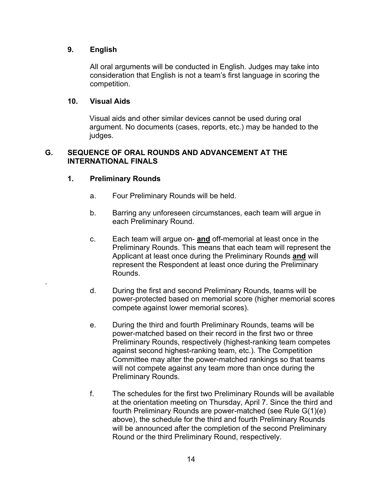### **9. English**

All oral arguments will be conducted in English. Judges may take into consideration that English is not a team's first language in scoring the competition.

### **10. Visual Aids**

Visual aids and other similar devices cannot be used during oral argument. No documents (cases, reports, etc.) may be handed to the judges.

### **G. SEQUENCE OF ORAL ROUNDS AND ADVANCEMENT AT THE INTERNATIONAL FINALS**

### **1. Preliminary Rounds**

.

- a. Four Preliminary Rounds will be held.
- b. Barring any unforeseen circumstances, each team will argue in each Preliminary Round.
- c. Each team will argue on- **and** off-memorial at least once in the Preliminary Rounds. This means that each team will represent the Applicant at least once during the Preliminary Rounds **and** will represent the Respondent at least once during the Preliminary Rounds.
- d. During the first and second Preliminary Rounds, teams will be power-protected based on memorial score (higher memorial scores compete against lower memorial scores).
- e. During the third and fourth Preliminary Rounds, teams will be power-matched based on their record in the first two or three Preliminary Rounds, respectively (highest-ranking team competes against second highest-ranking team, etc.). The Competition Committee may alter the power-matched rankings so that teams will not compete against any team more than once during the Preliminary Rounds.
- f. The schedules for the first two Preliminary Rounds will be available at the orientation meeting on Thursday, April 7. Since the third and fourth Preliminary Rounds are power-matched (see Rule G(1)(e) above), the schedule for the third and fourth Preliminary Rounds will be announced after the completion of the second Preliminary Round or the third Preliminary Round, respectively.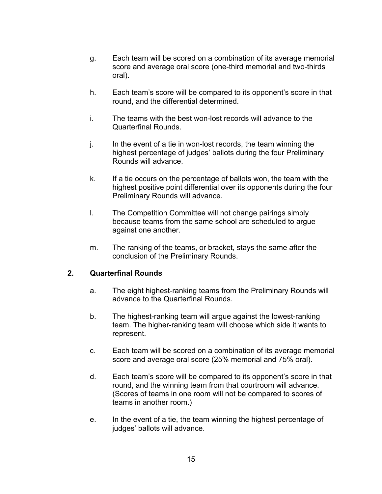- g. Each team will be scored on a combination of its average memorial score and average oral score (one-third memorial and two-thirds oral).
- h. Each team's score will be compared to its opponent's score in that round, and the differential determined.
- i. The teams with the best won-lost records will advance to the Quarterfinal Rounds.
- j. In the event of a tie in won-lost records, the team winning the highest percentage of judges' ballots during the four Preliminary Rounds will advance.
- k. If a tie occurs on the percentage of ballots won, the team with the highest positive point differential over its opponents during the four Preliminary Rounds will advance.
- l. The Competition Committee will not change pairings simply because teams from the same school are scheduled to argue against one another.
- m. The ranking of the teams, or bracket, stays the same after the conclusion of the Preliminary Rounds.

### **2. Quarterfinal Rounds**

- a. The eight highest-ranking teams from the Preliminary Rounds will advance to the Quarterfinal Rounds.
- b. The highest-ranking team will argue against the lowest-ranking team. The higher-ranking team will choose which side it wants to represent.
- c. Each team will be scored on a combination of its average memorial score and average oral score (25% memorial and 75% oral).
- d. Each team's score will be compared to its opponent's score in that round, and the winning team from that courtroom will advance. (Scores of teams in one room will not be compared to scores of teams in another room.)
- e. In the event of a tie, the team winning the highest percentage of judges' ballots will advance.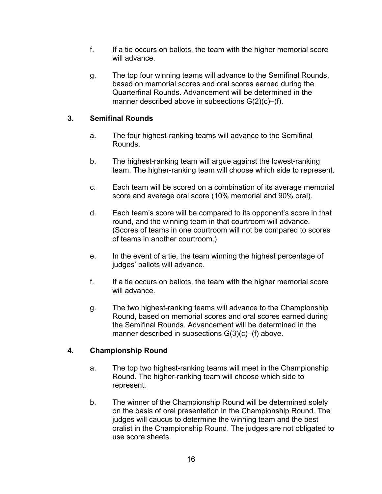- f. If a tie occurs on ballots, the team with the higher memorial score will advance.
- g. The top four winning teams will advance to the Semifinal Rounds, based on memorial scores and oral scores earned during the Quarterfinal Rounds. Advancement will be determined in the manner described above in subsections G(2)(c)–(f).

# **3. Semifinal Rounds**

- a. The four highest-ranking teams will advance to the Semifinal Rounds.
- b. The highest-ranking team will argue against the lowest-ranking team. The higher-ranking team will choose which side to represent.
- c. Each team will be scored on a combination of its average memorial score and average oral score (10% memorial and 90% oral).
- d. Each team's score will be compared to its opponent's score in that round, and the winning team in that courtroom will advance. (Scores of teams in one courtroom will not be compared to scores of teams in another courtroom.)
- e. In the event of a tie, the team winning the highest percentage of judges' ballots will advance.
- f. If a tie occurs on ballots, the team with the higher memorial score will advance.
- g. The two highest-ranking teams will advance to the Championship Round, based on memorial scores and oral scores earned during the Semifinal Rounds. Advancement will be determined in the manner described in subsections G(3)(c)–(f) above.

# **4. Championship Round**

- a. The top two highest-ranking teams will meet in the Championship Round. The higher-ranking team will choose which side to represent.
- b. The winner of the Championship Round will be determined solely on the basis of oral presentation in the Championship Round. The judges will caucus to determine the winning team and the best oralist in the Championship Round. The judges are not obligated to use score sheets.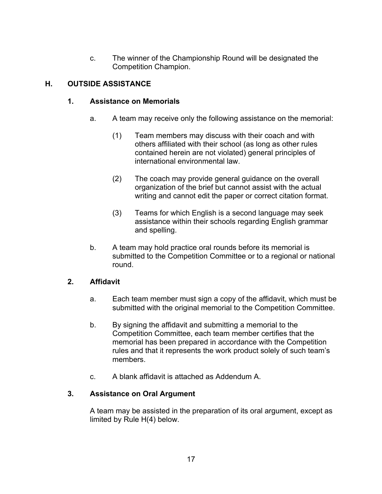c. The winner of the Championship Round will be designated the Competition Champion.

# **H. OUTSIDE ASSISTANCE**

### **1. Assistance on Memorials**

- a. A team may receive only the following assistance on the memorial:
	- (1) Team members may discuss with their coach and with others affiliated with their school (as long as other rules contained herein are not violated) general principles of international environmental law.
	- (2) The coach may provide general guidance on the overall organization of the brief but cannot assist with the actual writing and cannot edit the paper or correct citation format.
	- (3) Teams for which English is a second language may seek assistance within their schools regarding English grammar and spelling.
- b. A team may hold practice oral rounds before its memorial is submitted to the Competition Committee or to a regional or national round.

### **2. Affidavit**

- a. Each team member must sign a copy of the affidavit, which must be submitted with the original memorial to the Competition Committee.
- b. By signing the affidavit and submitting a memorial to the Competition Committee, each team member certifies that the memorial has been prepared in accordance with the Competition rules and that it represents the work product solely of such team's members.
- c. A blank affidavit is attached as Addendum A.

# **3. Assistance on Oral Argument**

A team may be assisted in the preparation of its oral argument, except as limited by Rule H(4) below.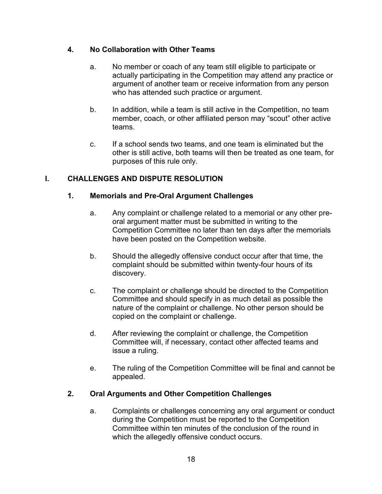# **4. No Collaboration with Other Teams**

- a. No member or coach of any team still eligible to participate or actually participating in the Competition may attend any practice or argument of another team or receive information from any person who has attended such practice or argument.
- b. In addition, while a team is still active in the Competition, no team member, coach, or other affiliated person may "scout" other active teams.
- c. If a school sends two teams, and one team is eliminated but the other is still active, both teams will then be treated as one team, for purposes of this rule only.

# **I. CHALLENGES AND DISPUTE RESOLUTION**

### **1. Memorials and Pre-Oral Argument Challenges**

- a. Any complaint or challenge related to a memorial or any other preoral argument matter must be submitted in writing to the Competition Committee no later than ten days after the memorials have been posted on the Competition website.
- b. Should the allegedly offensive conduct occur after that time, the complaint should be submitted within twenty-four hours of its discovery.
- c. The complaint or challenge should be directed to the Competition Committee and should specify in as much detail as possible the nature of the complaint or challenge. No other person should be copied on the complaint or challenge.
- d. After reviewing the complaint or challenge, the Competition Committee will, if necessary, contact other affected teams and issue a ruling.
- e. The ruling of the Competition Committee will be final and cannot be appealed.

# **2. Oral Arguments and Other Competition Challenges**

a. Complaints or challenges concerning any oral argument or conduct during the Competition must be reported to the Competition Committee within ten minutes of the conclusion of the round in which the allegedly offensive conduct occurs.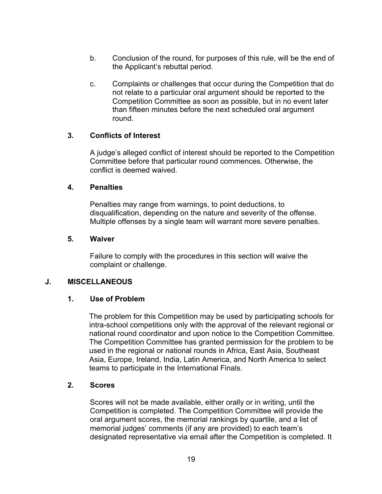- b. Conclusion of the round, for purposes of this rule, will be the end of the Applicant's rebuttal period.
- c. Complaints or challenges that occur during the Competition that do not relate to a particular oral argument should be reported to the Competition Committee as soon as possible, but in no event later than fifteen minutes before the next scheduled oral argument round.

### **3. Conflicts of Interest**

A judge's alleged conflict of interest should be reported to the Competition Committee before that particular round commences. Otherwise, the conflict is deemed waived.

#### **4. Penalties**

Penalties may range from warnings, to point deductions, to disqualification, depending on the nature and severity of the offense. Multiple offenses by a single team will warrant more severe penalties.

#### **5. Waiver**

Failure to comply with the procedures in this section will waive the complaint or challenge.

### **J. MISCELLANEOUS**

### **1. Use of Problem**

The problem for this Competition may be used by participating schools for intra-school competitions only with the approval of the relevant regional or national round coordinator and upon notice to the Competition Committee. The Competition Committee has granted permission for the problem to be used in the regional or national rounds in Africa, East Asia, Southeast Asia, Europe, Ireland, India, Latin America, and North America to select teams to participate in the International Finals.

#### **2. Scores**

Scores will not be made available, either orally or in writing, until the Competition is completed. The Competition Committee will provide the oral argument scores, the memorial rankings by quartile, and a list of memorial judges' comments (if any are provided) to each team's designated representative via email after the Competition is completed. It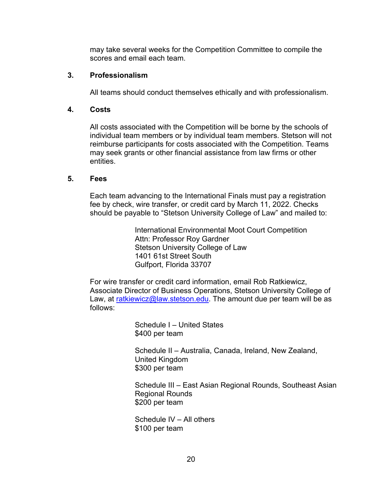may take several weeks for the Competition Committee to compile the scores and email each team.

### **3. Professionalism**

All teams should conduct themselves ethically and with professionalism.

### **4. Costs**

All costs associated with the Competition will be borne by the schools of individual team members or by individual team members. Stetson will not reimburse participants for costs associated with the Competition. Teams may seek grants or other financial assistance from law firms or other entities.

### **5. Fees**

Each team advancing to the International Finals must pay a registration fee by check, wire transfer, or credit card by March 11, 2022. Checks should be payable to "Stetson University College of Law" and mailed to:

> International Environmental Moot Court Competition Attn: Professor Roy Gardner Stetson University College of Law 1401 61st Street South Gulfport, Florida 33707

For wire transfer or credit card information, email Rob Ratkiewicz, Associate Director of Business Operations, Stetson University College of Law, at ratkiewicz@law.stetson.edu. The amount due per team will be as follows:

> Schedule I – United States \$400 per team

Schedule II – Australia, Canada, Ireland, New Zealand, United Kingdom \$300 per team

Schedule III – East Asian Regional Rounds, Southeast Asian Regional Rounds \$200 per team

Schedule IV – All others \$100 per team